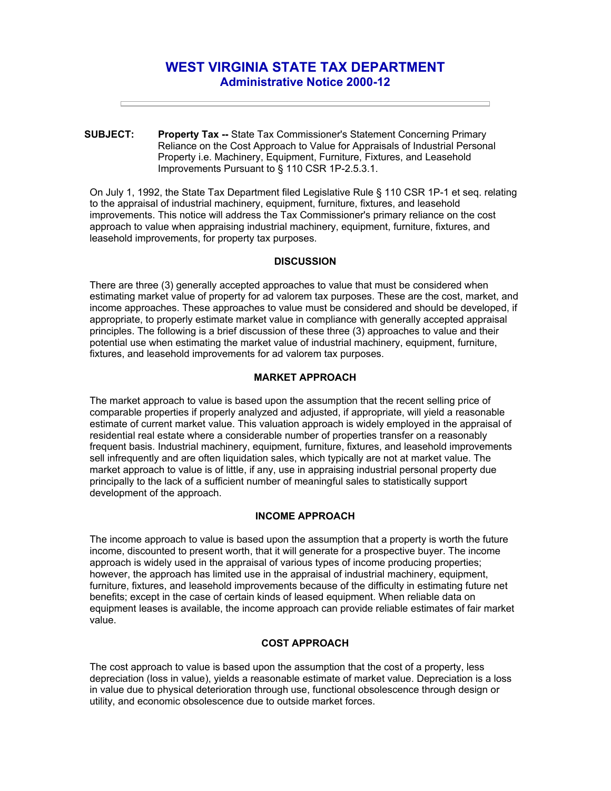# **WEST VIRGINIA STATE TAX DEPARTMENT Administrative Notice 2000-12**

**SUBJECT: Property Tax --** State Tax Commissioner's Statement Concerning Primary Reliance on the Cost Approach to Value for Appraisals of Industrial Personal Property i.e. Machinery, Equipment, Furniture, Fixtures, and Leasehold Improvements Pursuant to § 110 CSR 1P-2.5.3.1.

On July 1, 1992, the State Tax Department filed Legislative Rule § 110 CSR 1P-1 et seq. relating to the appraisal of industrial machinery, equipment, furniture, fixtures, and leasehold improvements. This notice will address the Tax Commissioner's primary reliance on the cost approach to value when appraising industrial machinery, equipment, furniture, fixtures, and leasehold improvements, for property tax purposes.

#### **DISCUSSION**

There are three (3) generally accepted approaches to value that must be considered when estimating market value of property for ad valorem tax purposes. These are the cost, market, and income approaches. These approaches to value must be considered and should be developed, if appropriate, to properly estimate market value in compliance with generally accepted appraisal principles. The following is a brief discussion of these three (3) approaches to value and their potential use when estimating the market value of industrial machinery, equipment, furniture, fixtures, and leasehold improvements for ad valorem tax purposes.

## **MARKET APPROACH**

The market approach to value is based upon the assumption that the recent selling price of comparable properties if properly analyzed and adjusted, if appropriate, will yield a reasonable estimate of current market value. This valuation approach is widely employed in the appraisal of residential real estate where a considerable number of properties transfer on a reasonably frequent basis. Industrial machinery, equipment, furniture, fixtures, and leasehold improvements sell infrequently and are often liquidation sales, which typically are not at market value. The market approach to value is of little, if any, use in appraising industrial personal property due principally to the lack of a sufficient number of meaningful sales to statistically support development of the approach.

## **INCOME APPROACH**

The income approach to value is based upon the assumption that a property is worth the future income, discounted to present worth, that it will generate for a prospective buyer. The income approach is widely used in the appraisal of various types of income producing properties; however, the approach has limited use in the appraisal of industrial machinery, equipment, furniture, fixtures, and leasehold improvements because of the difficulty in estimating future net benefits; except in the case of certain kinds of leased equipment. When reliable data on equipment leases is available, the income approach can provide reliable estimates of fair market value.

## **COST APPROACH**

The cost approach to value is based upon the assumption that the cost of a property, less depreciation (loss in value), yields a reasonable estimate of market value. Depreciation is a loss in value due to physical deterioration through use, functional obsolescence through design or utility, and economic obsolescence due to outside market forces.